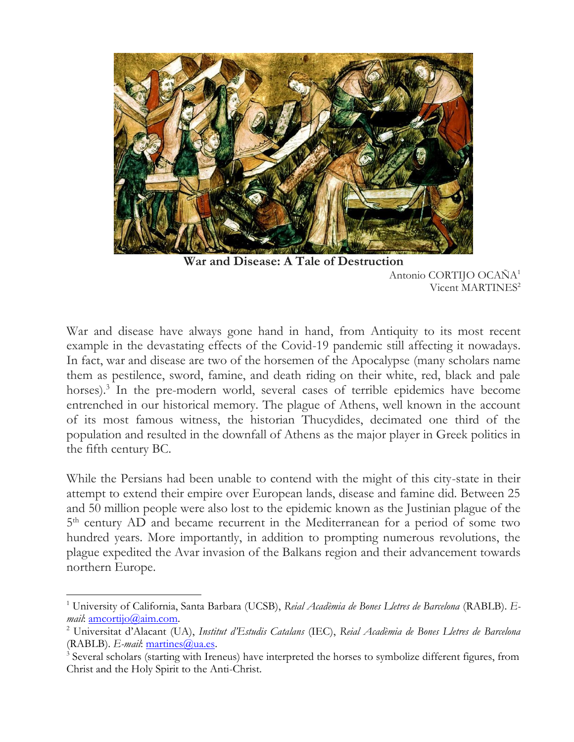

**War and Disease: A Tale of Destruction** Antonio CORTIJO OCAÑA<sup>1</sup> Vicent MARTINES<sup>2</sup>

War and disease have always gone hand in hand, from Antiquity to its most recent example in the devastating effects of the Covid-19 pandemic still affecting it nowadays. In fact, war and disease are two of the horsemen of the Apocalypse (many scholars name them as pestilence, sword, famine, and death riding on their white, red, black and pale horses). 3 In the pre-modern world, several cases of terrible epidemics have become entrenched in our historical memory. The plague of Athens, well known in the account of its most famous witness, the historian Thucydides, decimated one third of the population and resulted in the downfall of Athens as the major player in Greek politics in the fifth century BC.

While the Persians had been unable to contend with the might of this city-state in their attempt to extend their empire over European lands, disease and famine did. Between 25 and 50 million people were also lost to the epidemic known as the Justinian plague of the 5<sup>th</sup> century AD and became recurrent in the Mediterranean for a period of some two hundred years. More importantly, in addition to prompting numerous revolutions, the plague expedited the Avar invasion of the Balkans region and their advancement towards northern Europe.

<sup>1</sup> University of California, Santa Barbara (UCSB), *Reial Acadèmia de Bones Lletres de Barcelona* (RABLB). *Email*: [amcortijo@aim.com.](mailto:amcortijo@aim.com)

<sup>2</sup> Universitat d'Alacant (UA), *Institut d'Estudis Catalans* (IEC), *Reial Acadèmia de Bones Lletres de Barcelona* (RABLB). *E-mail*: [martines@ua.es.](mailto:martines@ua.es)

<sup>&</sup>lt;sup>3</sup> Several scholars (starting with Ireneus) have interpreted the horses to symbolize different figures, from Christ and the Holy Spirit to the Anti-Christ.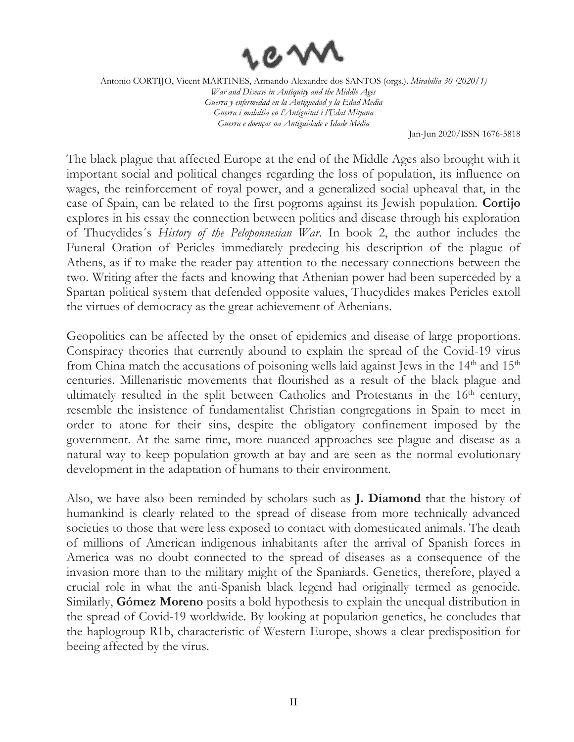

Jan-Jun 2020/ISSN 1676-5818

The black plague that affected Europe at the end of the Middle Ages also brought with it important social and political changes regarding the loss of population, its influence on wages, the reinforcement of royal power, and a generalized social upheaval that, in the case of Spain, can be related to the first pogroms against its Jewish population. **Cortijo** explores in his essay the connection between politics and disease through his exploration of Thucydides´s *History of the Peloponnesian War*. In book 2, the author includes the Funeral Oration of Pericles immediately predecing his description of the plague of Athens, as if to make the reader pay attention to the necessary connections between the two. Writing after the facts and knowing that Athenian power had been superceded by a Spartan political system that defended opposite values, Thucydides makes Pericles extoll the virtues of democracy as the great achievement of Athenians.

Geopolitics can be affected by the onset of epidemics and disease of large proportions. Conspiracy theories that currently abound to explain the spread of the Covid-19 virus from China match the accusations of poisoning wells laid against Jews in the  $14<sup>th</sup>$  and  $15<sup>th</sup>$ centuries. Millenaristic movements that flourished as a result of the black plague and ultimately resulted in the split between Catholics and Protestants in the 16<sup>th</sup> century, resemble the insistence of fundamentalist Christian congregations in Spain to meet in order to atone for their sins, despite the obligatory confinement imposed by the government. At the same time, more nuanced approaches see plague and disease as a natural way to keep population growth at bay and are seen as the normal evolutionary development in the adaptation of humans to their environment.

Also, we have also been reminded by scholars such as **J. Diamond** that the history of humankind is clearly related to the spread of disease from more technically advanced societies to those that were less exposed to contact with domesticated animals. The death of millions of American indigenous inhabitants after the arrival of Spanish forces in America was no doubt connected to the spread of diseases as a consequence of the invasion more than to the military might of the Spaniards. Genetics, therefore, played a crucial role in what the anti-Spanish black legend had originally termed as genocide. Similarly, **Gómez Moreno** posits a bold hypothesis to explain the unequal distribution in the spread of Covid-19 worldwide. By looking at population genetics, he concludes that the haplogroup R1b, characteristic of Western Europe, shows a clear predisposition for beeing affected by the virus.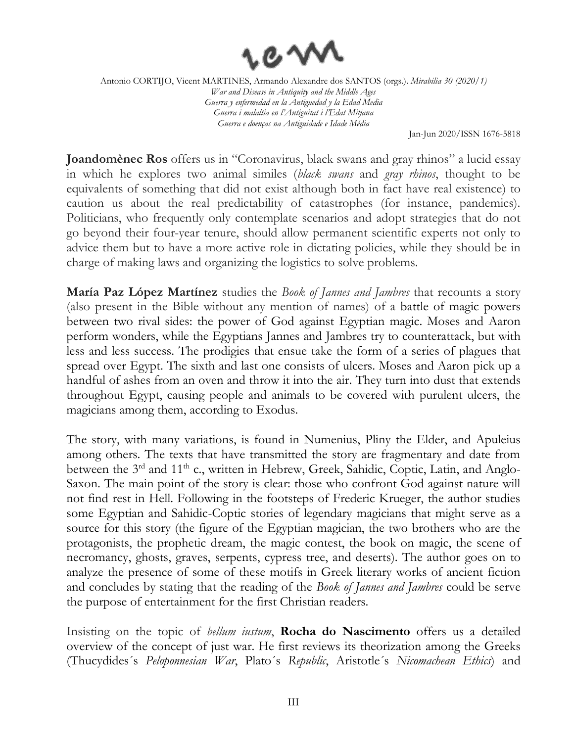

Jan-Jun 2020/ISSN 1676-5818

**Joandomènec Ros** offers us in "Coronavirus, black swans and gray rhinos" a lucid essay in which he explores two animal similes (*black swans* and *gray rhinos*, thought to be equivalents of something that did not exist although both in fact have real existence) to caution us about the real predictability of catastrophes (for instance, pandemics). Politicians, who frequently only contemplate scenarios and adopt strategies that do not go beyond their four-year tenure, should allow permanent scientific experts not only to advice them but to have a more active role in dictating policies, while they should be in charge of making laws and organizing the logistics to solve problems.

**María Paz López Martínez** studies the *Book of Jannes and Jambres* that recounts a story (also present in the Bible without any mention of names) of a battle of magic powers between two rival sides: the power of God against Egyptian magic. Moses and Aaron perform wonders, while the Egyptians Jannes and Jambres try to counterattack, but with less and less success. The prodigies that ensue take the form of a series of plagues that spread over Egypt. The sixth and last one consists of ulcers. Moses and Aaron pick up a handful of ashes from an oven and throw it into the air. They turn into dust that extends throughout Egypt, causing people and animals to be covered with purulent ulcers, the magicians among them, according to Exodus.

The story, with many variations, is found in Numenius, Pliny the Elder, and Apuleius among others. The texts that have transmitted the story are fragmentary and date from between the 3<sup>rd</sup> and 11<sup>th</sup> c., written in Hebrew, Greek, Sahidic, Coptic, Latin, and Anglo-Saxon. The main point of the story is clear: those who confront God against nature will not find rest in Hell. Following in the footsteps of Frederic Krueger, the author studies some Egyptian and Sahidic-Coptic stories of legendary magicians that might serve as a source for this story (the figure of the Egyptian magician, the two brothers who are the protagonists, the prophetic dream, the magic contest, the book on magic, the scene of necromancy, ghosts, graves, serpents, cypress tree, and deserts). The author goes on to analyze the presence of some of these motifs in Greek literary works of ancient fiction and concludes by stating that the reading of the *Book of Jannes and Jambres* could be serve the purpose of entertainment for the first Christian readers.

Insisting on the topic of *bellum iustum*, **Rocha do Nascimento** offers us a detailed overview of the concept of just war. He first reviews its theorization among the Greeks (Thucydides´s *Peloponnesian War*, Plato´s *Republic*, Aristotle´s *Nicomachean Ethics*) and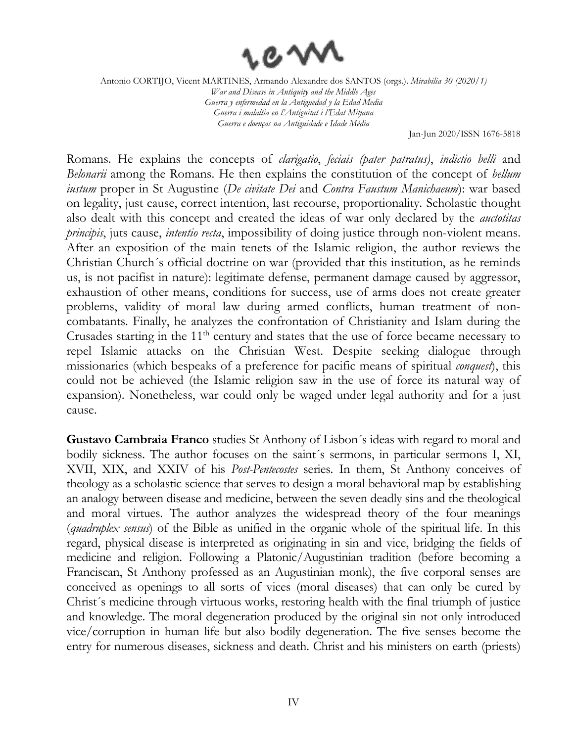

Jan-Jun 2020/ISSN 1676-5818

Romans. He explains the concepts of *clarigatio*, *feciais (pater patratus)*, *indictio belli* and *Belonarii* among the Romans. He then explains the constitution of the concept of *bellum iustum* proper in St Augustine (*De civitate Dei* and *Contra Faustum Manichaeum*): war based on legality, just cause, correct intention, last recourse, proportionality. Scholastic thought also dealt with this concept and created the ideas of war only declared by the *auctotitas principis*, juts cause, *intentio recta*, impossibility of doing justice through non-violent means. After an exposition of the main tenets of the Islamic religion, the author reviews the Christian Church´s official doctrine on war (provided that this institution, as he reminds us, is not pacifist in nature): legitimate defense, permanent damage caused by aggressor, exhaustion of other means, conditions for success, use of arms does not create greater problems, validity of moral law during armed conflicts, human treatment of noncombatants. Finally, he analyzes the confrontation of Christianity and Islam during the Crusades starting in the 11<sup>th</sup> century and states that the use of force became necessary to repel Islamic attacks on the Christian West. Despite seeking dialogue through missionaries (which bespeaks of a preference for pacific means of spiritual *conquest*), this could not be achieved (the Islamic religion saw in the use of force its natural way of expansion). Nonetheless, war could only be waged under legal authority and for a just cause.

**Gustavo Cambraia Franco** studies St Anthony of Lisbon´s ideas with regard to moral and bodily sickness. The author focuses on the saint´s sermons, in particular sermons I, XI, XVII, XIX, and XXIV of his *Post-Pentecostes* series. In them, St Anthony conceives of theology as a scholastic science that serves to design a moral behavioral map by establishing an analogy between disease and medicine, between the seven deadly sins and the theological and moral virtues. The author analyzes the widespread theory of the four meanings (*quadruplex sensus*) of the Bible as unified in the organic whole of the spiritual life. In this regard, physical disease is interpreted as originating in sin and vice, bridging the fields of medicine and religion. Following a Platonic/Augustinian tradition (before becoming a Franciscan, St Anthony professed as an Augustinian monk), the five corporal senses are conceived as openings to all sorts of vices (moral diseases) that can only be cured by Christ´s medicine through virtuous works, restoring health with the final triumph of justice and knowledge. The moral degeneration produced by the original sin not only introduced vice/corruption in human life but also bodily degeneration. The five senses become the entry for numerous diseases, sickness and death. Christ and his ministers on earth (priests)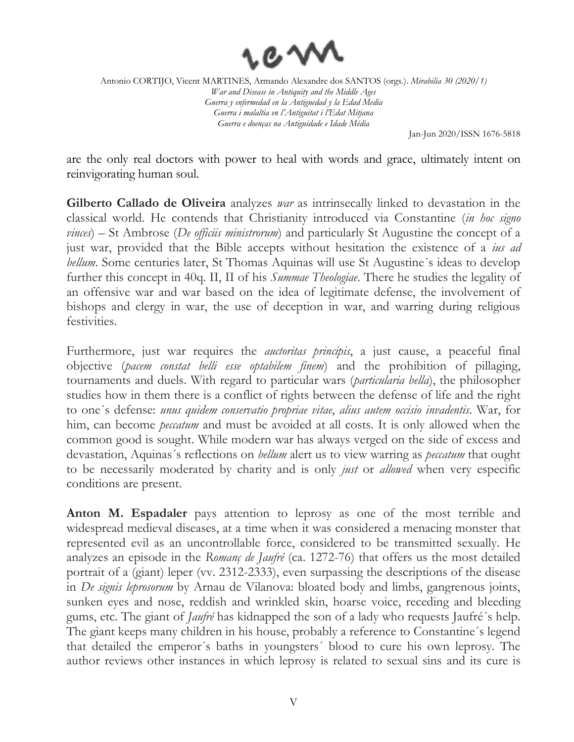

Jan-Jun 2020/ISSN 1676-5818

are the only real doctors with power to heal with words and grace, ultimately intent on reinvigorating human soul.

**Gilberto Callado de Oliveira** analyzes *war* as intrinsecally linked to devastation in the classical world. He contends that Christianity introduced via Constantine (*in hoc signo vinces*) – St Ambrose (*De officiis ministrorum*) and particularly St Augustine the concept of a just war, provided that the Bible accepts without hesitation the existence of a *ius ad bellum*. Some centuries later, St Thomas Aquinas will use St Augustine's ideas to develop further this concept in 40q. II, II of his *Summae Theologiae*. There he studies the legality of an offensive war and war based on the idea of legitimate defense, the involvement of bishops and clergy in war, the use of deception in war, and warring during religious festivities.

Furthermore, just war requires the *auctoritas principis*, a just cause, a peaceful final objective (*pacem constat belli esse optabilem finem*) and the prohibition of pillaging, tournaments and duels. With regard to particular wars (*particularia bella*), the philosopher studies how in them there is a conflict of rights between the defense of life and the right to one´s defense: *unus quidem conservatio propriae vitae*, *alius autem occisio invadentis*. War, for him, can become *peccatum* and must be avoided at all costs. It is only allowed when the common good is sought. While modern war has always verged on the side of excess and devastation, Aquinas´s reflections on *bellum* alert us to view warring as *peccatum* that ought to be necessarily moderated by charity and is only *just* or *allowed* when very especific conditions are present.

**Anton M. Espadaler** pays attention to leprosy as one of the most terrible and widespread medieval diseases, at a time when it was considered a menacing monster that represented evil as an uncontrollable force, considered to be transmitted sexually. He analyzes an episode in the *Romanç de Jaufré* (ca. 1272-76) that offers us the most detailed portrait of a (giant) leper (vv. 2312-2333), even surpassing the descriptions of the disease in *De signis leprosorum* by Arnau de Vilanova: bloated body and limbs, gangrenous joints, sunken eyes and nose, reddish and wrinkled skin, hoarse voice, receding and bleeding gums, etc. The giant of *Jaufré* has kidnapped the son of a lady who requests Jaufré´s help. The giant keeps many children in his house, probably a reference to Constantine´s legend that detailed the emperor´s baths in youngsters´ blood to cure his own leprosy. The author reviews other instances in which leprosy is related to sexual sins and its cure is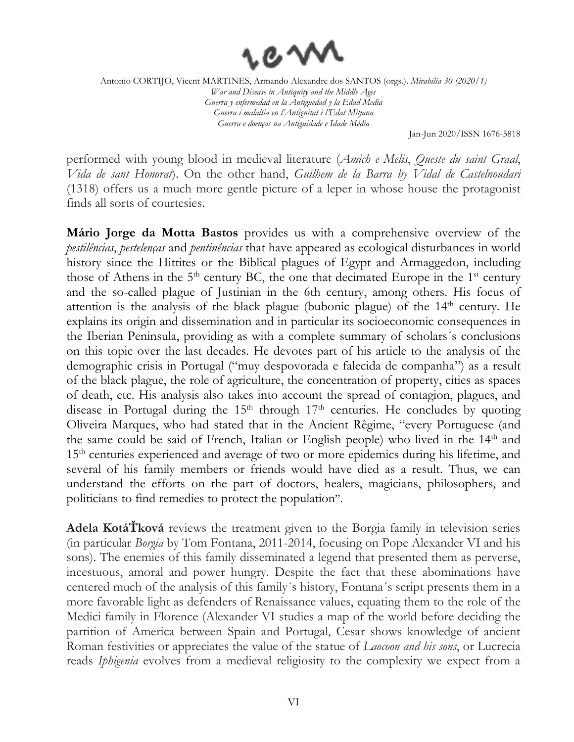

Jan-Jun 2020/ISSN 1676-5818

performed with young blood in medieval literature (*Amich e Melis*, *Queste du saint Graal*, *Vida de sant Honorat*). On the other hand, *Guilhem de la Barra by Vidal de Castelnoudari*  (1318) offers us a much more gentle picture of a leper in whose house the protagonist finds all sorts of courtesies.

**Mário Jorge da Motta Bastos** provides us with a comprehensive overview of the *pestilências*, *pestelenças* and *pentinências* that have appeared as ecological disturbances in world history since the Hittites or the Biblical plagues of Egypt and Armaggedon, including those of Athens in the  $5<sup>th</sup>$  century BC, the one that decimated Europe in the  $1<sup>st</sup>$  century and the so-called plague of Justinian in the 6th century, among others. His focus of attention is the analysis of the black plague (bubonic plague) of the 14<sup>th</sup> century. He explains its origin and dissemination and in particular its socioeconomic consequences in the Iberian Peninsula, providing as with a complete summary of scholars´s conclusions on this topic over the last decades. He devotes part of his article to the analysis of the demographic crisis in Portugal ("muy despovorada e falecida de companha") as a result of the black plague, the role of agriculture, the concentration of property, cities as spaces of death, etc. His analysis also takes into account the spread of contagion, plagues, and disease in Portugal during the  $15<sup>th</sup>$  through  $17<sup>th</sup>$  centuries. He concludes by quoting Oliveira Marques, who had stated that in the Ancient Rêgime, "every Portuguese (and the same could be said of French, Italian or English people) who lived in the 14<sup>th</sup> and 15<sup>th</sup> centuries experienced and average of two or more epidemics during his lifetime, and several of his family members or friends would have died as a result. Thus, we can understand the efforts on the part of doctors, healers, magicians, philosophers, and politicians to find remedies to protect the population".

**Adela KotáŤková** reviews the treatment given to the Borgia family in television series (in particular *Borgia* by Tom Fontana, 2011-2014, focusing on Pope Alexander VI and his sons). The enemies of this family disseminated a legend that presented them as perverse, incestuous, amoral and power hungry. Despite the fact that these abominations have centered much of the analysis of this family´s history, Fontana´s script presents them in a more favorable light as defenders of Renaissance values, equating them to the role of the Medici family in Florence (Alexander VI studies a map of the world before deciding the partition of America between Spain and Portugal, Cesar shows knowledge of ancient Roman festivities or appreciates the value of the statue of *Laocoon and his sons*, or Lucrecia reads *Iphigenia* evolves from a medieval religiosity to the complexity we expect from a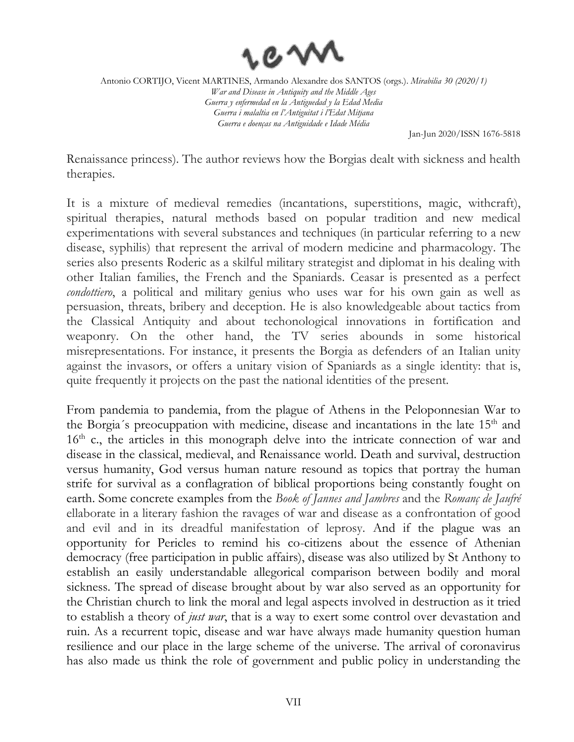

Jan-Jun 2020/ISSN 1676-5818

Renaissance princess). The author reviews how the Borgias dealt with sickness and health therapies.

It is a mixture of medieval remedies (incantations, superstitions, magic, withcraft), spiritual therapies, natural methods based on popular tradition and new medical experimentations with several substances and techniques (in particular referring to a new disease, syphilis) that represent the arrival of modern medicine and pharmacology. The series also presents Roderic as a skilful military strategist and diplomat in his dealing with other Italian families, the French and the Spaniards. Ceasar is presented as a perfect *condottiero*, a political and military genius who uses war for his own gain as well as persuasion, threats, bribery and deception. He is also knowledgeable about tactics from the Classical Antiquity and about techonological innovations in fortification and weaponry. On the other hand, the TV series abounds in some historical misrepresentations. For instance, it presents the Borgia as defenders of an Italian unity against the invasors, or offers a unitary vision of Spaniards as a single identity: that is, quite frequently it projects on the past the national identities of the present.

From pandemia to pandemia, from the plague of Athens in the Peloponnesian War to the Borgia's preocuppation with medicine, disease and incantations in the late  $15<sup>th</sup>$  and 16<sup>th</sup> c., the articles in this monograph delve into the intricate connection of war and disease in the classical, medieval, and Renaissance world. Death and survival, destruction versus humanity, God versus human nature resound as topics that portray the human strife for survival as a conflagration of biblical proportions being constantly fought on earth. Some concrete examples from the *Book of Jannes and Jambres* and the *Romanç de Jaufré*  ellaborate in a literary fashion the ravages of war and disease as a confrontation of good and evil and in its dreadful manifestation of leprosy. And if the plague was an opportunity for Pericles to remind his co-citizens about the essence of Athenian democracy (free participation in public affairs), disease was also utilized by St Anthony to establish an easily understandable allegorical comparison between bodily and moral sickness. The spread of disease brought about by war also served as an opportunity for the Christian church to link the moral and legal aspects involved in destruction as it tried to establish a theory of *just war*, that is a way to exert some control over devastation and ruin. As a recurrent topic, disease and war have always made humanity question human resilience and our place in the large scheme of the universe. The arrival of coronavirus has also made us think the role of government and public policy in understanding the